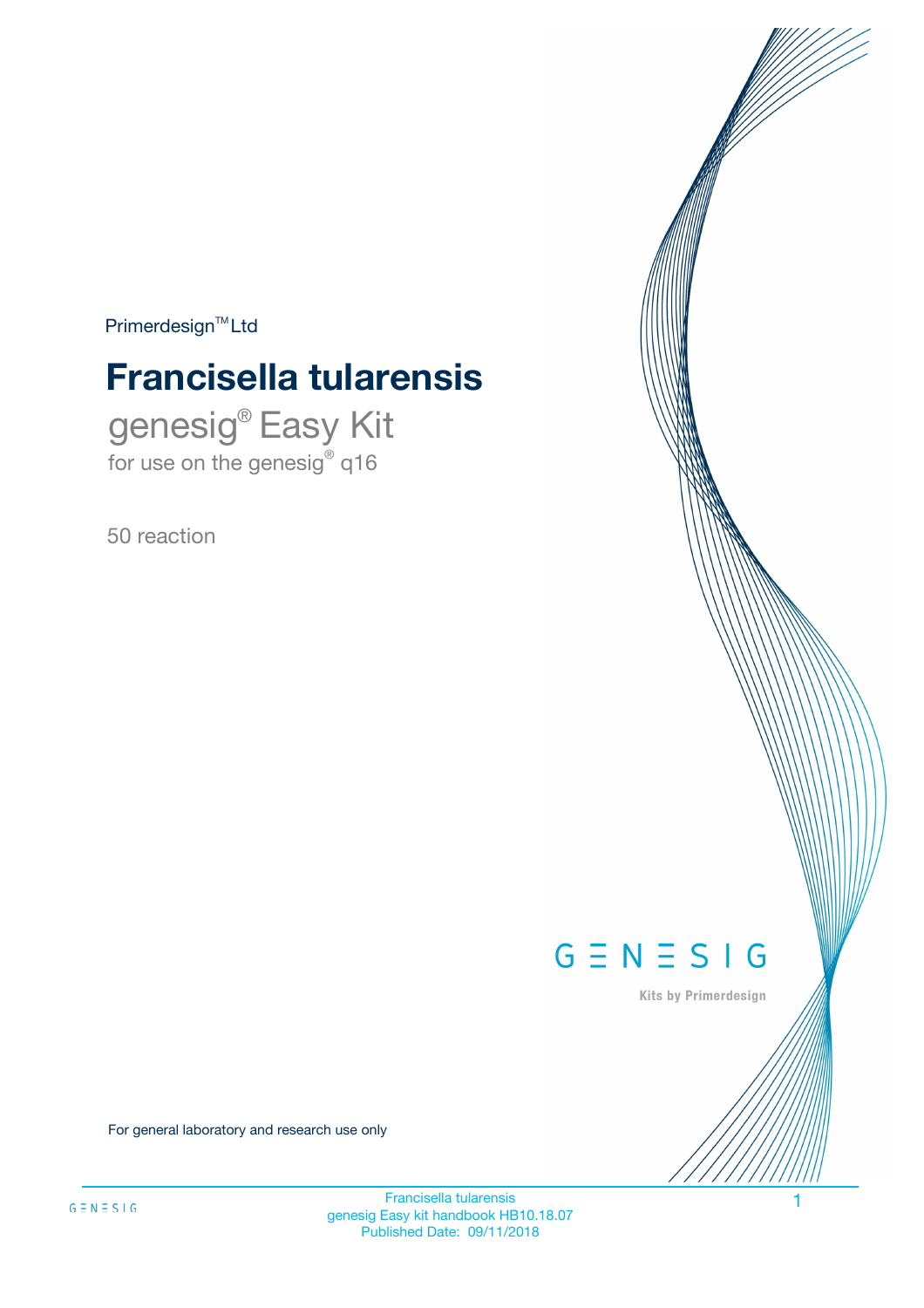$Primerdesign^{\text{TM}}Ltd$ 

# **Francisella tularensis**

genesig® Easy Kit for use on the genesig® q16

50 reaction



Kits by Primerdesign

For general laboratory and research use only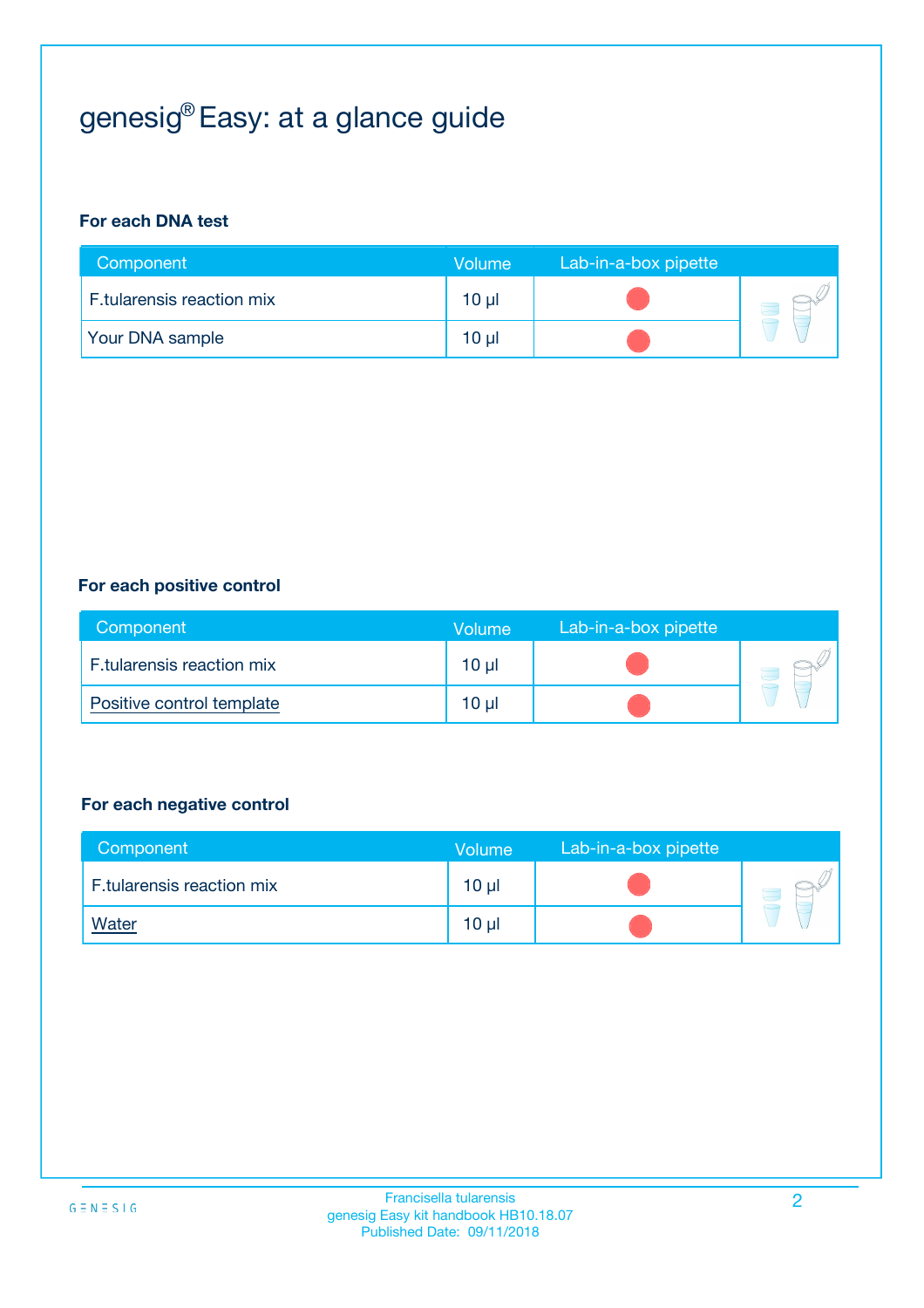# genesig® Easy: at a glance guide

#### **For each DNA test**

| Component                        | <b>Volume</b> | Lab-in-a-box pipette |  |
|----------------------------------|---------------|----------------------|--|
| <b>F.tularensis reaction mix</b> | 10 µl         |                      |  |
| <b>Your DNA sample</b>           | 10 µl         |                      |  |

#### **For each positive control**

| Component                 | Volume   | Lab-in-a-box pipette |  |
|---------------------------|----------|----------------------|--|
| F.tularensis reaction mix | $10 \mu$ |                      |  |
| Positive control template | 10 µl    |                      |  |

#### **For each negative control**

| Component                 | <b>Volume</b>   | Lab-in-a-box pipette |  |
|---------------------------|-----------------|----------------------|--|
| F.tularensis reaction mix | 10 <sub>µ</sub> |                      |  |
| <u>Water</u>              | 10 <sub>µ</sub> |                      |  |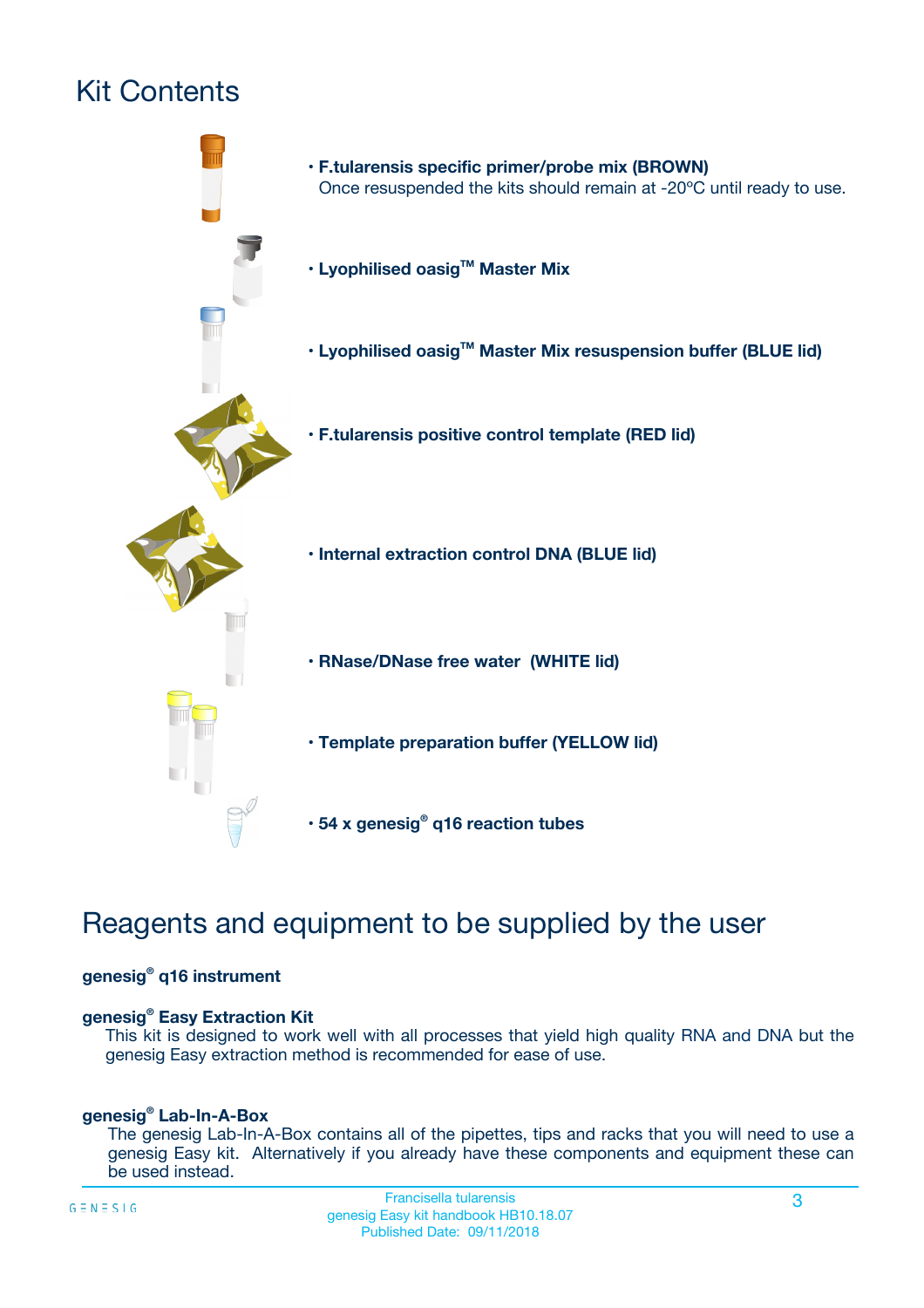# Kit Contents



# Reagents and equipment to be supplied by the user

#### **genesig® q16 instrument**

#### **genesig® Easy Extraction Kit**

This kit is designed to work well with all processes that yield high quality RNA and DNA but the genesig Easy extraction method is recommended for ease of use.

#### **genesig® Lab-In-A-Box**

The genesig Lab-In-A-Box contains all of the pipettes, tips and racks that you will need to use a genesig Easy kit. Alternatively if you already have these components and equipment these can be used instead.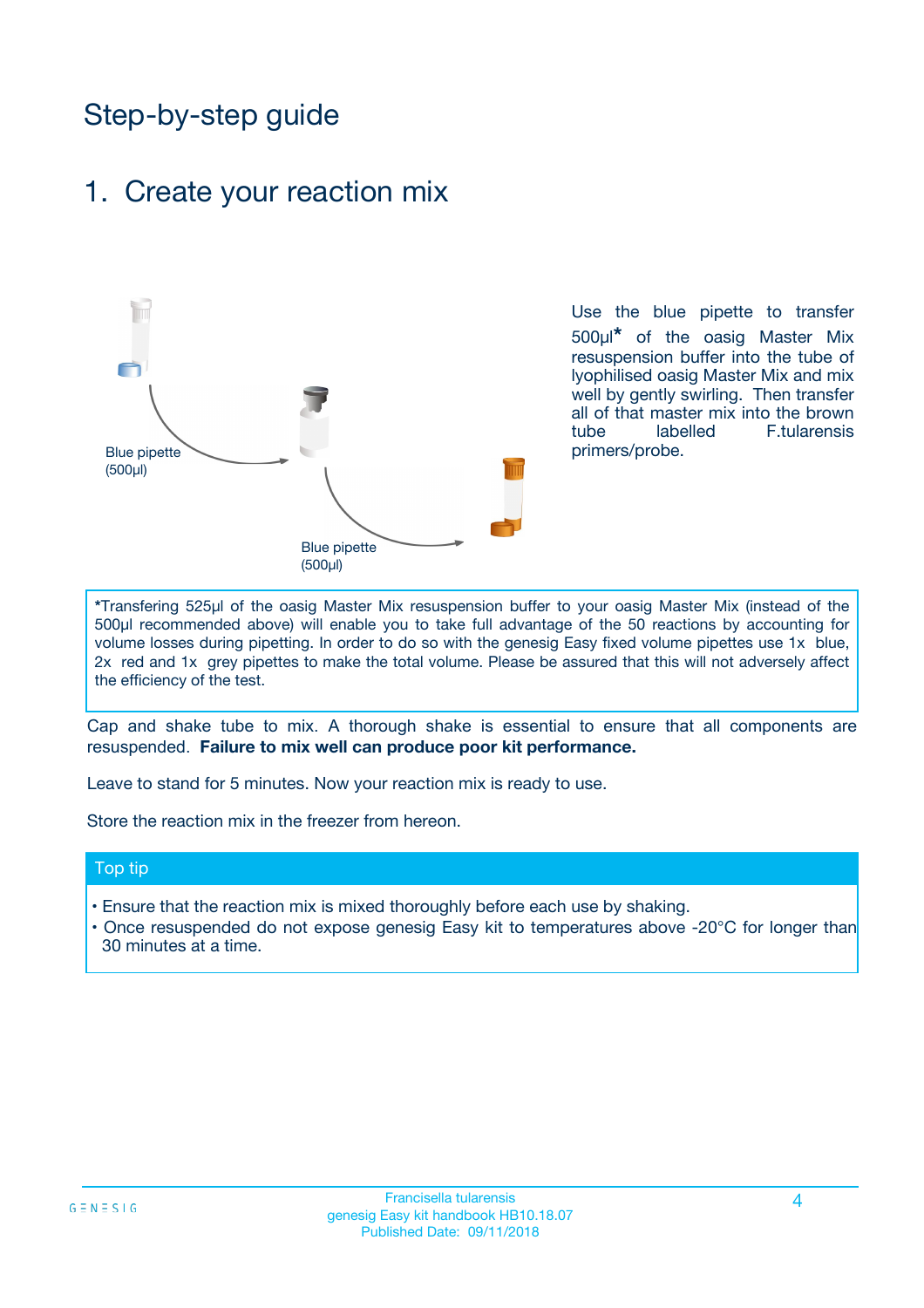# Step-by-step guide

### 1. Create your reaction mix



Use the blue pipette to transfer 500µl**\*** of the oasig Master Mix resuspension buffer into the tube of lyophilised oasig Master Mix and mix well by gently swirling. Then transfer all of that master mix into the brown tube labelled F.tularensis primers/probe.

**\***Transfering 525µl of the oasig Master Mix resuspension buffer to your oasig Master Mix (instead of the 500µl recommended above) will enable you to take full advantage of the 50 reactions by accounting for volume losses during pipetting. In order to do so with the genesig Easy fixed volume pipettes use 1x blue, 2x red and 1x grey pipettes to make the total volume. Please be assured that this will not adversely affect the efficiency of the test.

Cap and shake tube to mix. A thorough shake is essential to ensure that all components are resuspended. **Failure to mix well can produce poor kit performance.**

Leave to stand for 5 minutes. Now your reaction mix is ready to use.

Store the reaction mix in the freezer from hereon.

#### Top tip

- Ensure that the reaction mix is mixed thoroughly before each use by shaking.
- **•** Once resuspended do not expose genesig Easy kit to temperatures above -20°C for longer than 30 minutes at a time.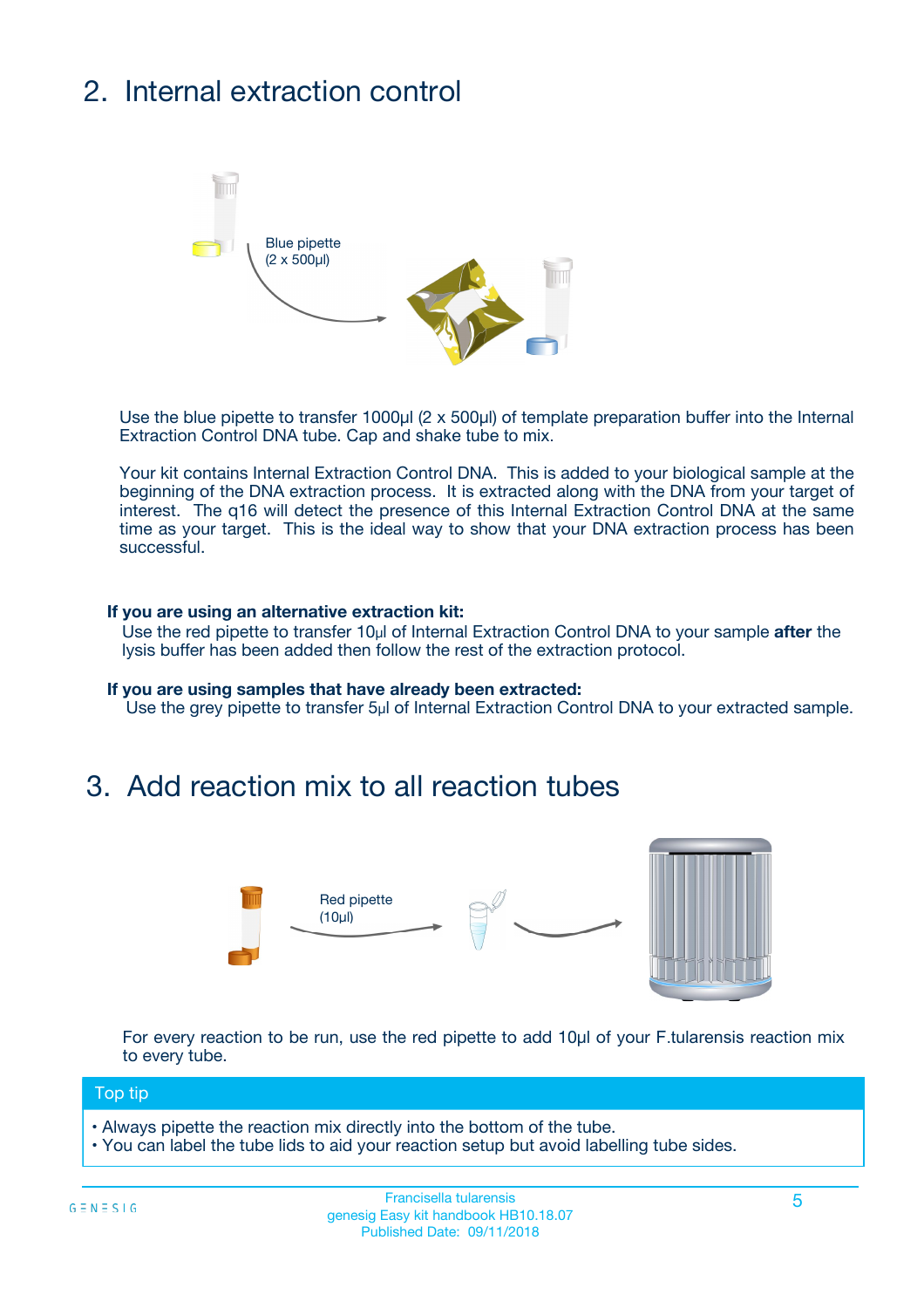# 2. Internal extraction control



Use the blue pipette to transfer 1000µl (2 x 500µl) of template preparation buffer into the Internal Extraction Control DNA tube. Cap and shake tube to mix.

Your kit contains Internal Extraction Control DNA. This is added to your biological sample at the beginning of the DNA extraction process. It is extracted along with the DNA from your target of interest. The q16 will detect the presence of this Internal Extraction Control DNA at the same time as your target. This is the ideal way to show that your DNA extraction process has been **successful.** 

#### **If you are using an alternative extraction kit:**

Use the red pipette to transfer 10µl of Internal Extraction Control DNA to your sample **after** the lysis buffer has been added then follow the rest of the extraction protocol.

#### **If you are using samples that have already been extracted:**

Use the grey pipette to transfer 5µl of Internal Extraction Control DNA to your extracted sample.

## 3. Add reaction mix to all reaction tubes



For every reaction to be run, use the red pipette to add 10µl of your F.tularensis reaction mix to every tube.

#### Top tip

- Always pipette the reaction mix directly into the bottom of the tube.
- You can label the tube lids to aid your reaction setup but avoid labelling tube sides.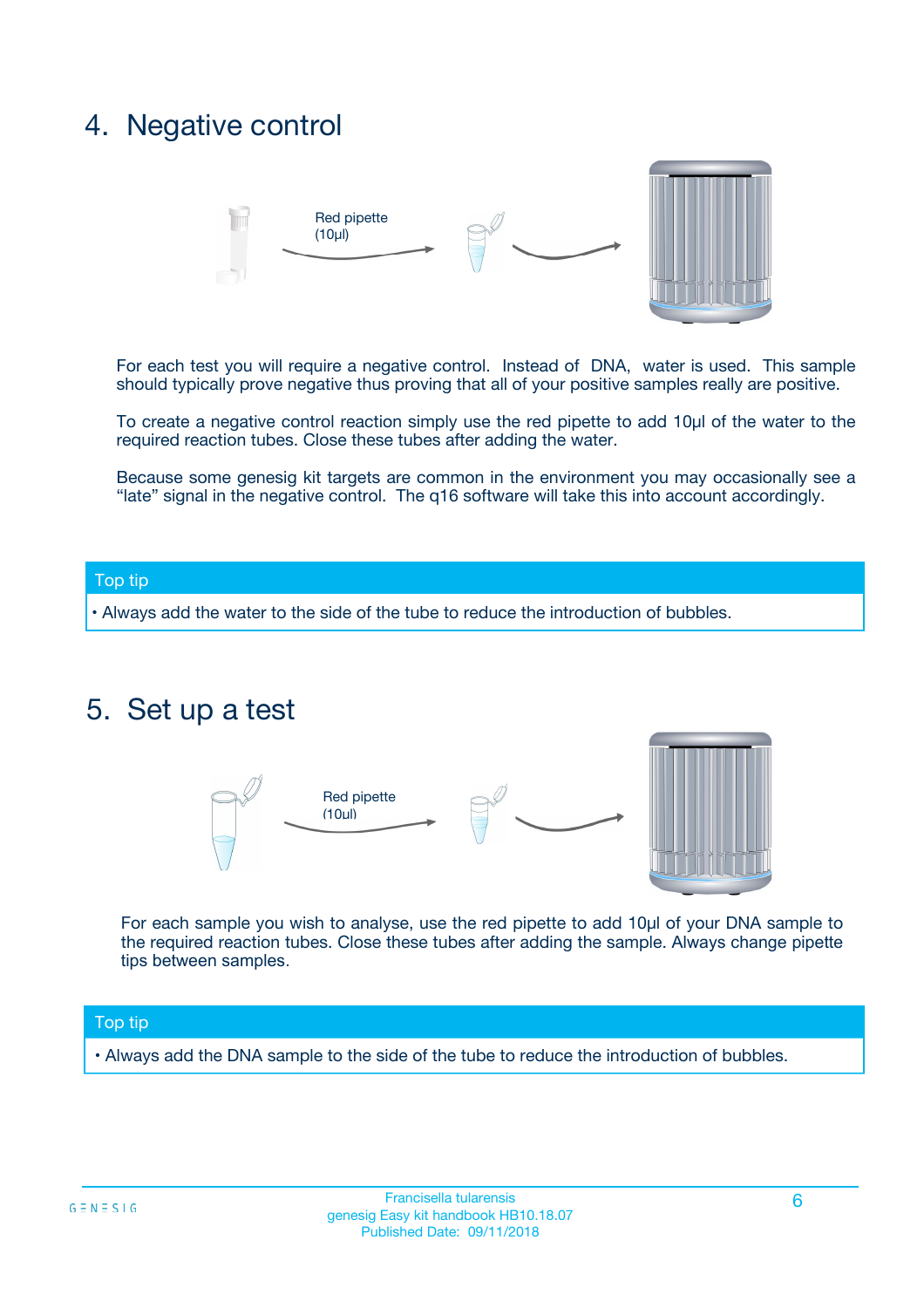## 4. Negative control



For each test you will require a negative control. Instead of DNA, water is used. This sample should typically prove negative thus proving that all of your positive samples really are positive.

To create a negative control reaction simply use the red pipette to add 10µl of the water to the required reaction tubes. Close these tubes after adding the water.

Because some genesig kit targets are common in the environment you may occasionally see a "late" signal in the negative control. The q16 software will take this into account accordingly.

#### Top tip

**•** Always add the water to the side of the tube to reduce the introduction of bubbles.

### 5. Set up a test



For each sample you wish to analyse, use the red pipette to add 10µl of your DNA sample to the required reaction tubes. Close these tubes after adding the sample. Always change pipette tips between samples.

#### Top tip

**•** Always add the DNA sample to the side of the tube to reduce the introduction of bubbles.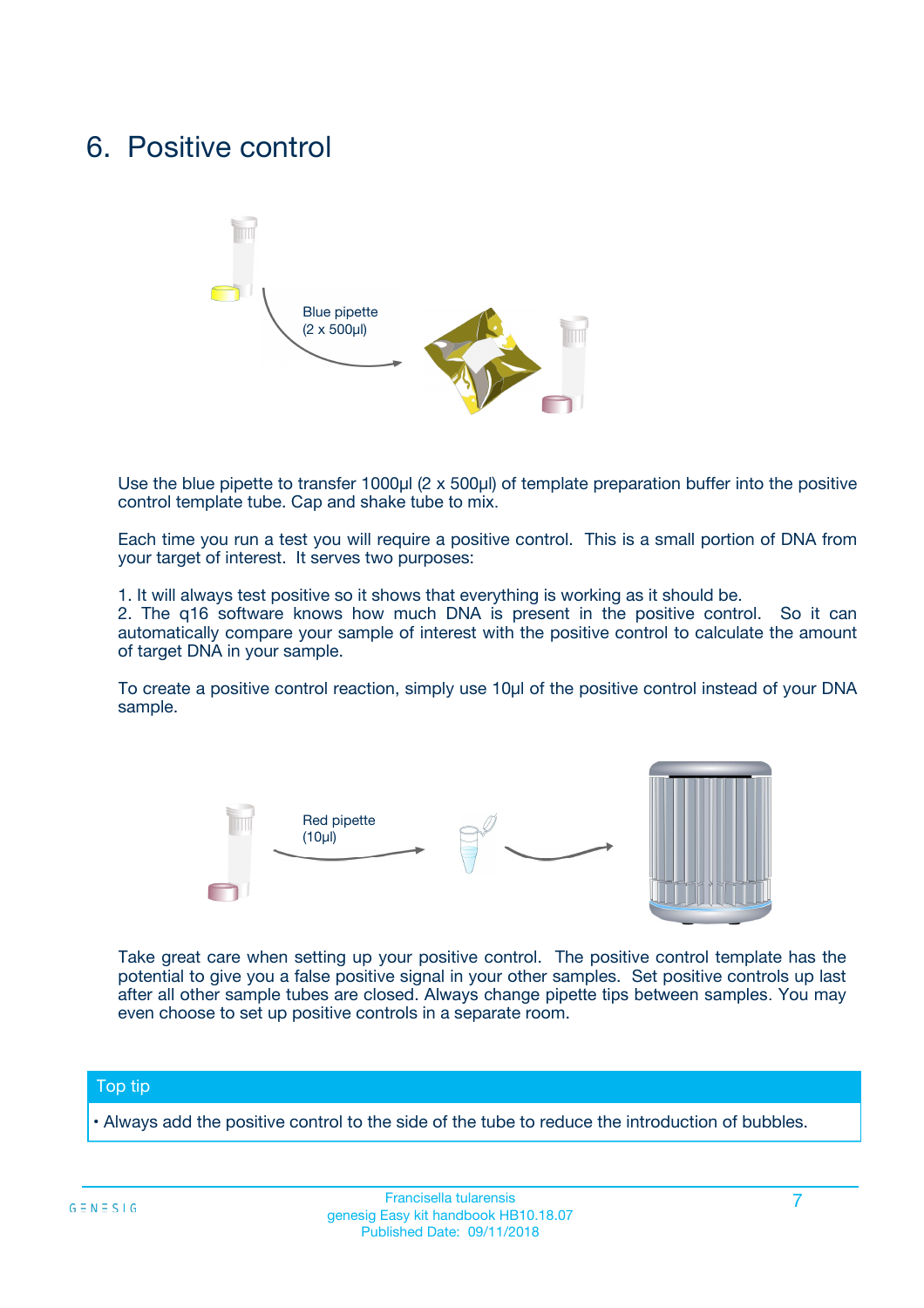## 6. Positive control



Use the blue pipette to transfer 1000µl (2 x 500µl) of template preparation buffer into the positive control template tube. Cap and shake tube to mix.

Each time you run a test you will require a positive control. This is a small portion of DNA from your target of interest. It serves two purposes:

1. It will always test positive so it shows that everything is working as it should be.

2. The q16 software knows how much DNA is present in the positive control. So it can automatically compare your sample of interest with the positive control to calculate the amount of target DNA in your sample.

To create a positive control reaction, simply use 10µl of the positive control instead of your DNA sample.



Take great care when setting up your positive control. The positive control template has the potential to give you a false positive signal in your other samples. Set positive controls up last after all other sample tubes are closed. Always change pipette tips between samples. You may even choose to set up positive controls in a separate room.

#### Top tip

**•** Always add the positive control to the side of the tube to reduce the introduction of bubbles.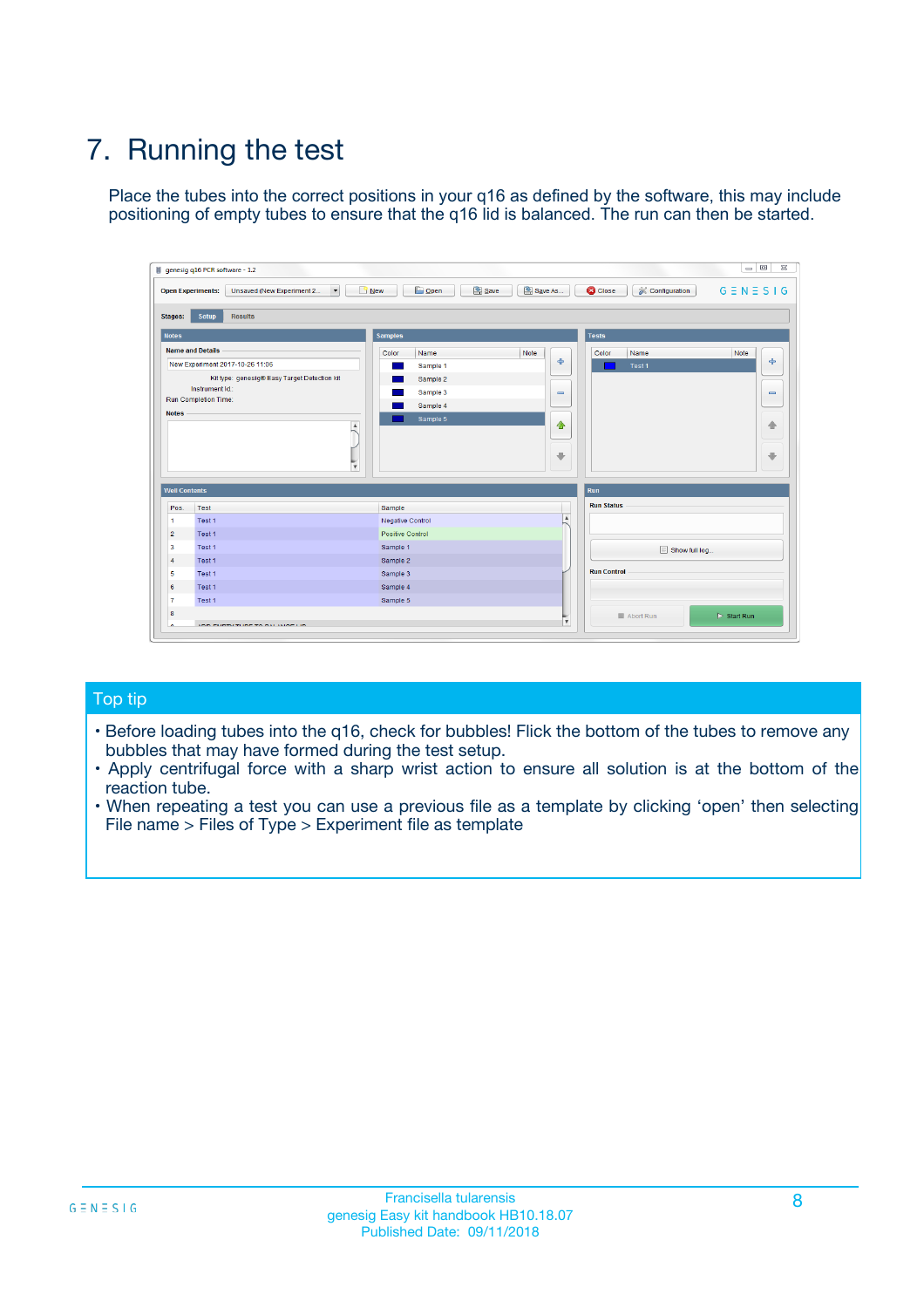# 7. Running the test

Place the tubes into the correct positions in your q16 as defined by the software, this may include positioning of empty tubes to ensure that the q16 lid is balanced. The run can then be started.

| genesig q16 PCR software - 1.2                                               |                                     | $\Box$                                                                                  |
|------------------------------------------------------------------------------|-------------------------------------|-----------------------------------------------------------------------------------------|
| Unsaved (New Experiment 2<br>$\vert \cdot \vert$<br><b>Open Experiments:</b> | <b>D</b> Open<br>Save<br>$\Box$ New | Save As<br><b>C</b> Close<br>$G \equiv N \equiv S \mid G$<br><b>&amp; Configuration</b> |
| Setup<br><b>Results</b><br><b>Stages:</b>                                    |                                     |                                                                                         |
| <b>Notes</b>                                                                 | Samples                             | <b>Tests</b>                                                                            |
| <b>Name and Details</b>                                                      | Color<br>Name                       | Note<br>Color<br>Note<br>Name                                                           |
| New Experiment 2017-10-26 11:06                                              | Sample 1                            | ع<br>条<br>Test 1                                                                        |
| Kit type: genesig® Easy Target Detection kit                                 | Sample 2                            |                                                                                         |
| Instrument Id.:                                                              | Sample 3                            | $\qquad \qquad \blacksquare$<br>$\qquad \qquad \blacksquare$                            |
| Run Completion Time:                                                         | Sample 4                            |                                                                                         |
| <b>Notes</b>                                                                 | Sample 5<br>A<br>v                  | $\triangle$<br>4<br>$\oplus$<br>₩                                                       |
| <b>Well Contents</b>                                                         |                                     | <b>Run</b>                                                                              |
| Pos.<br>Test                                                                 | Sample                              | <b>Run Status</b>                                                                       |
| Test 1<br>-1                                                                 | <b>Negative Control</b>             | $\blacktriangle$                                                                        |
| $\overline{2}$<br>Test 1                                                     | <b>Positive Control</b>             |                                                                                         |
| $\overline{\mathbf{3}}$<br>Test 1                                            | Sample 1                            | Show full log                                                                           |
| Test 1<br>$\overline{4}$                                                     | Sample 2                            |                                                                                         |
| 5<br>Test 1                                                                  | Sample 3                            | <b>Run Control</b>                                                                      |
| 6<br>Test 1                                                                  | Sample 4                            |                                                                                         |
| $\overline{7}$<br>Test 1                                                     | Sample 5                            |                                                                                         |
| 8                                                                            |                                     | $\triangleright$ Start Run<br>Abort Run                                                 |
| <b>JOD FURTY TUDE TO BUILDED IN</b>                                          |                                     | $\overline{\mathbf{v}}$                                                                 |

#### Top tip

- Before loading tubes into the q16, check for bubbles! Flick the bottom of the tubes to remove any bubbles that may have formed during the test setup.
- Apply centrifugal force with a sharp wrist action to ensure all solution is at the bottom of the reaction tube.
- When repeating a test you can use a previous file as a template by clicking 'open' then selecting File name > Files of Type > Experiment file as template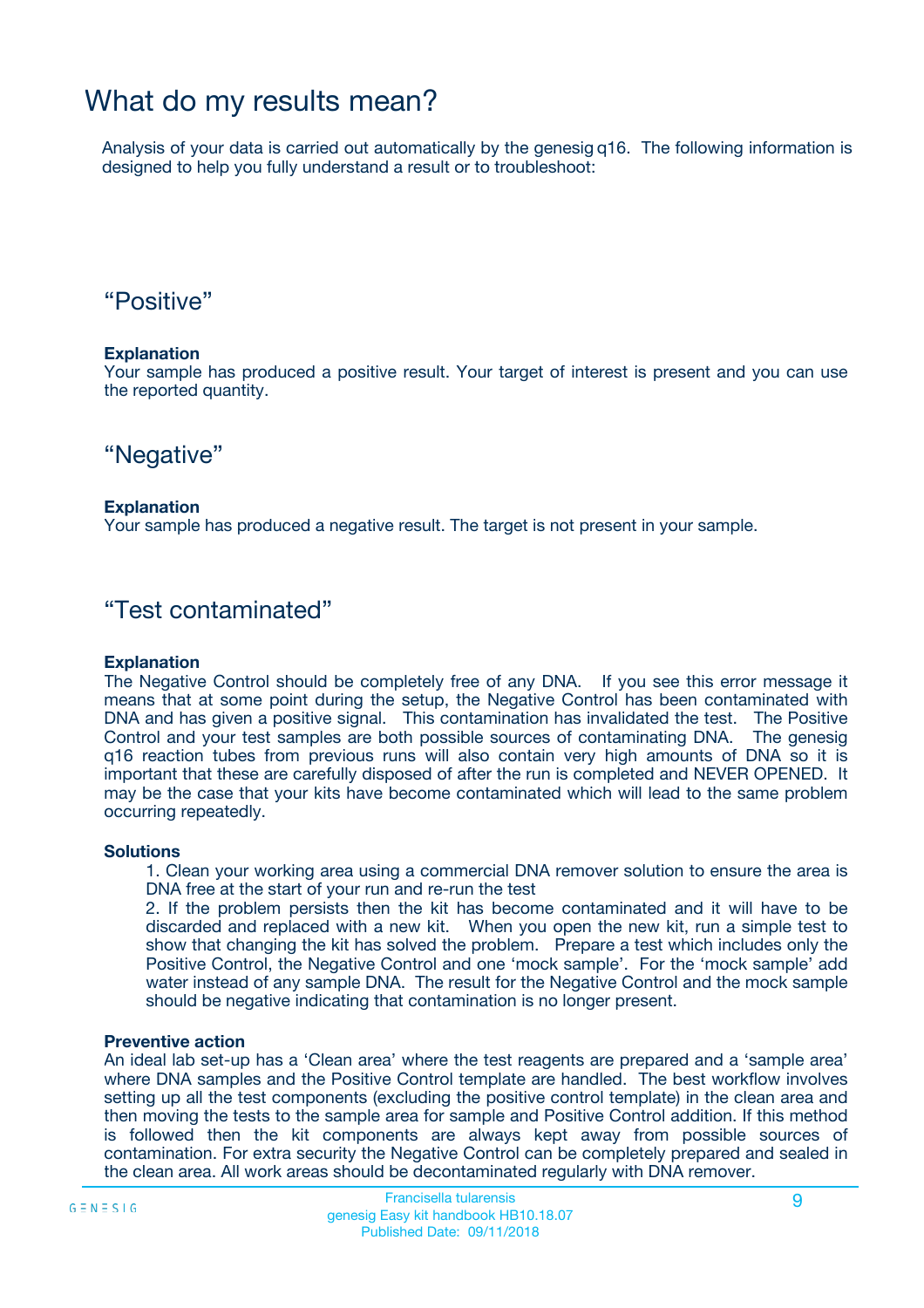## What do my results mean?

Analysis of your data is carried out automatically by the genesig q16. The following information is designed to help you fully understand a result or to troubleshoot:

### "Positive"

#### **Explanation**

Your sample has produced a positive result. Your target of interest is present and you can use the reported quantity.

"Negative"

#### **Explanation**

Your sample has produced a negative result. The target is not present in your sample.

### "Test contaminated"

#### **Explanation**

The Negative Control should be completely free of any DNA. If you see this error message it means that at some point during the setup, the Negative Control has been contaminated with DNA and has given a positive signal. This contamination has invalidated the test. The Positive Control and your test samples are both possible sources of contaminating DNA. The genesig q16 reaction tubes from previous runs will also contain very high amounts of DNA so it is important that these are carefully disposed of after the run is completed and NEVER OPENED. It may be the case that your kits have become contaminated which will lead to the same problem occurring repeatedly.

#### **Solutions**

1. Clean your working area using a commercial DNA remover solution to ensure the area is DNA free at the start of your run and re-run the test

2. If the problem persists then the kit has become contaminated and it will have to be discarded and replaced with a new kit. When you open the new kit, run a simple test to show that changing the kit has solved the problem. Prepare a test which includes only the Positive Control, the Negative Control and one 'mock sample'. For the 'mock sample' add water instead of any sample DNA. The result for the Negative Control and the mock sample should be negative indicating that contamination is no longer present.

#### **Preventive action**

An ideal lab set-up has a 'Clean area' where the test reagents are prepared and a 'sample area' where DNA samples and the Positive Control template are handled. The best workflow involves setting up all the test components (excluding the positive control template) in the clean area and then moving the tests to the sample area for sample and Positive Control addition. If this method is followed then the kit components are always kept away from possible sources of contamination. For extra security the Negative Control can be completely prepared and sealed in the clean area. All work areas should be decontaminated regularly with DNA remover.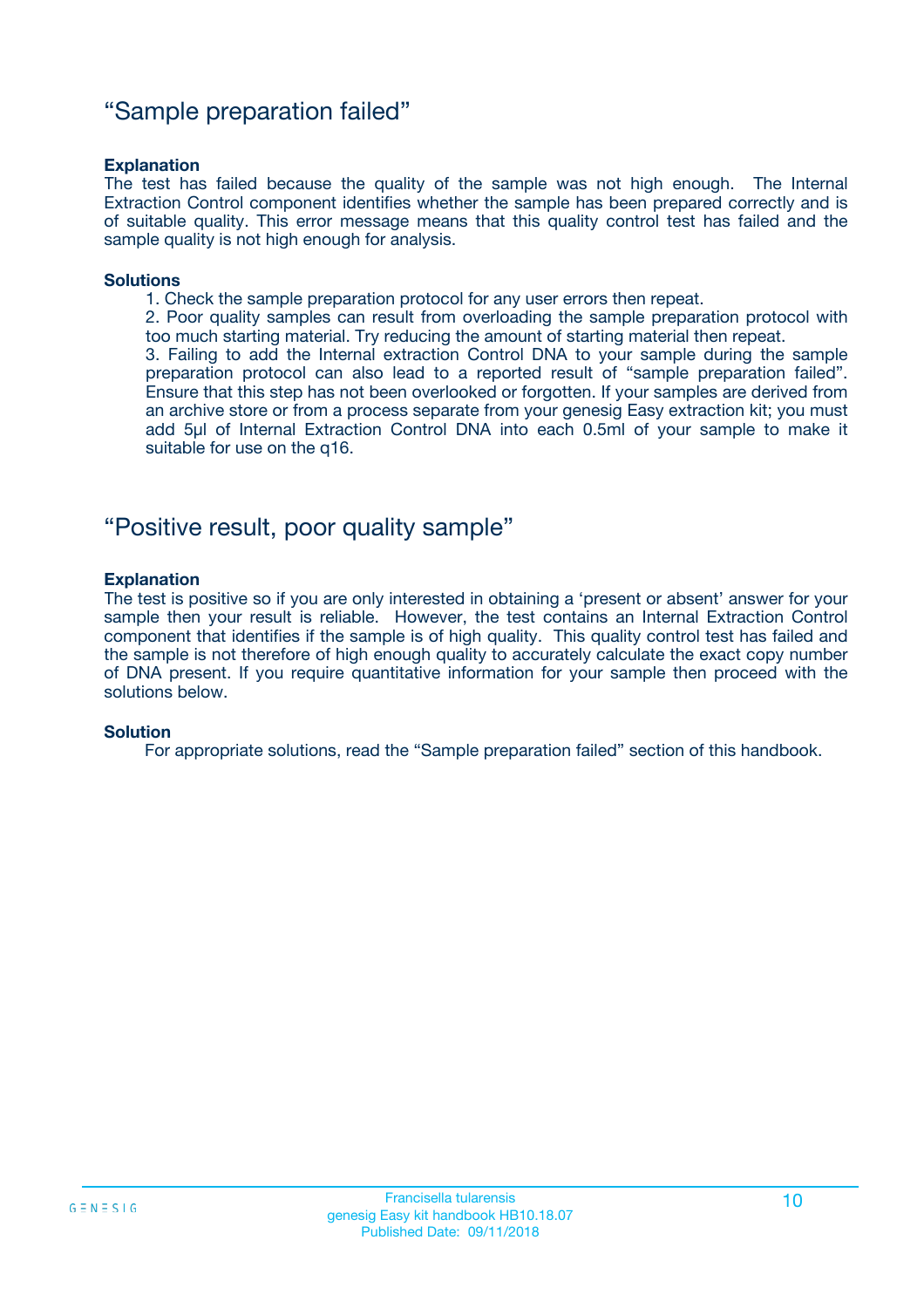### "Sample preparation failed"

#### **Explanation**

The test has failed because the quality of the sample was not high enough. The Internal Extraction Control component identifies whether the sample has been prepared correctly and is of suitable quality. This error message means that this quality control test has failed and the sample quality is not high enough for analysis.

#### **Solutions**

1. Check the sample preparation protocol for any user errors then repeat.

2. Poor quality samples can result from overloading the sample preparation protocol with too much starting material. Try reducing the amount of starting material then repeat.

3. Failing to add the Internal extraction Control DNA to your sample during the sample preparation protocol can also lead to a reported result of "sample preparation failed". Ensure that this step has not been overlooked or forgotten. If your samples are derived from an archive store or from a process separate from your genesig Easy extraction kit; you must add 5µl of Internal Extraction Control DNA into each 0.5ml of your sample to make it suitable for use on the q16.

### "Positive result, poor quality sample"

#### **Explanation**

The test is positive so if you are only interested in obtaining a 'present or absent' answer for your sample then your result is reliable. However, the test contains an Internal Extraction Control component that identifies if the sample is of high quality. This quality control test has failed and the sample is not therefore of high enough quality to accurately calculate the exact copy number of DNA present. If you require quantitative information for your sample then proceed with the solutions below.

#### **Solution**

For appropriate solutions, read the "Sample preparation failed" section of this handbook.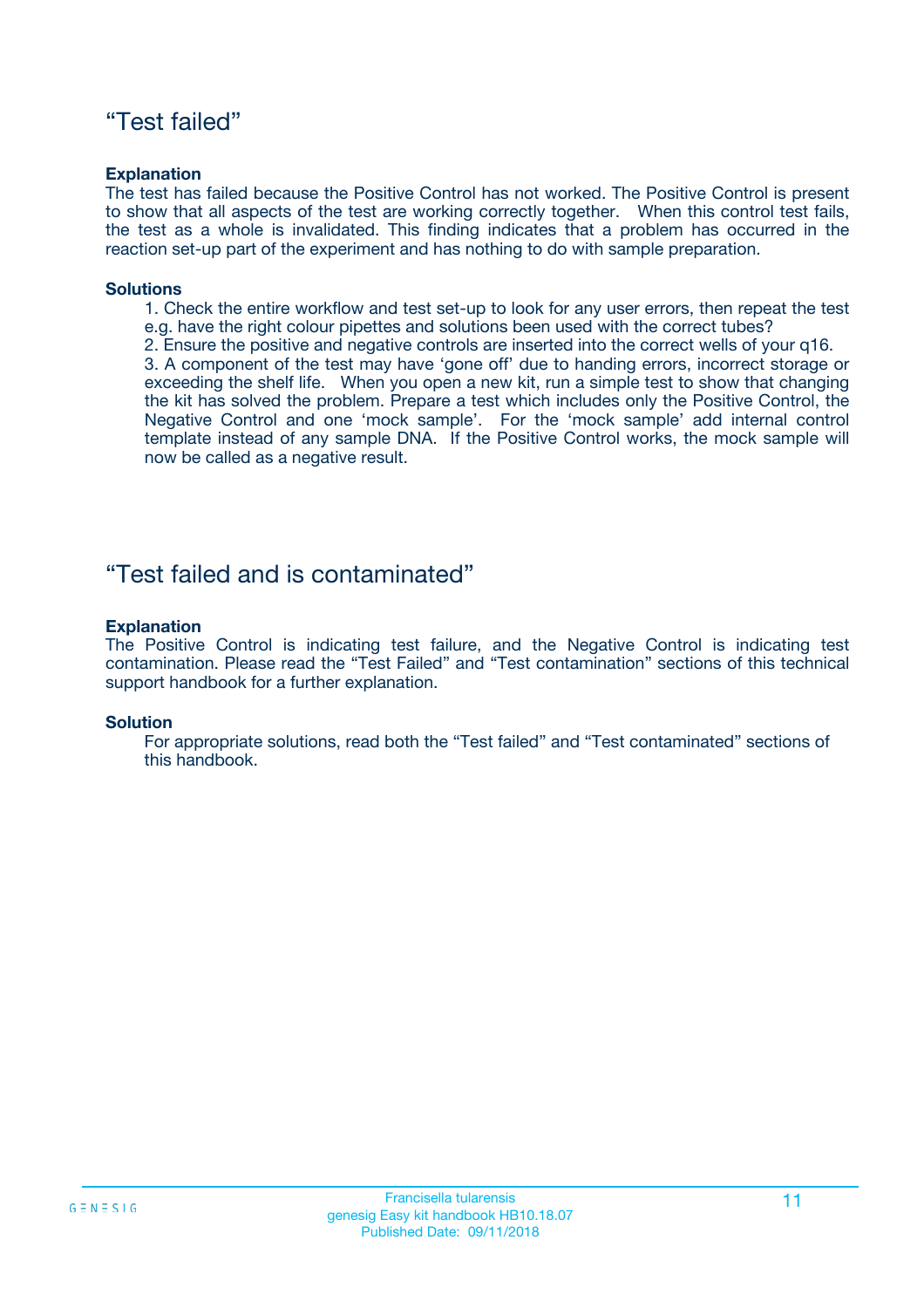### "Test failed"

#### **Explanation**

The test has failed because the Positive Control has not worked. The Positive Control is present to show that all aspects of the test are working correctly together. When this control test fails, the test as a whole is invalidated. This finding indicates that a problem has occurred in the reaction set-up part of the experiment and has nothing to do with sample preparation.

#### **Solutions**

- 1. Check the entire workflow and test set-up to look for any user errors, then repeat the test e.g. have the right colour pipettes and solutions been used with the correct tubes?
- 2. Ensure the positive and negative controls are inserted into the correct wells of your q16.

3. A component of the test may have 'gone off' due to handing errors, incorrect storage or exceeding the shelf life. When you open a new kit, run a simple test to show that changing the kit has solved the problem. Prepare a test which includes only the Positive Control, the Negative Control and one 'mock sample'. For the 'mock sample' add internal control template instead of any sample DNA. If the Positive Control works, the mock sample will now be called as a negative result.

### "Test failed and is contaminated"

#### **Explanation**

The Positive Control is indicating test failure, and the Negative Control is indicating test contamination. Please read the "Test Failed" and "Test contamination" sections of this technical support handbook for a further explanation.

#### **Solution**

For appropriate solutions, read both the "Test failed" and "Test contaminated" sections of this handbook.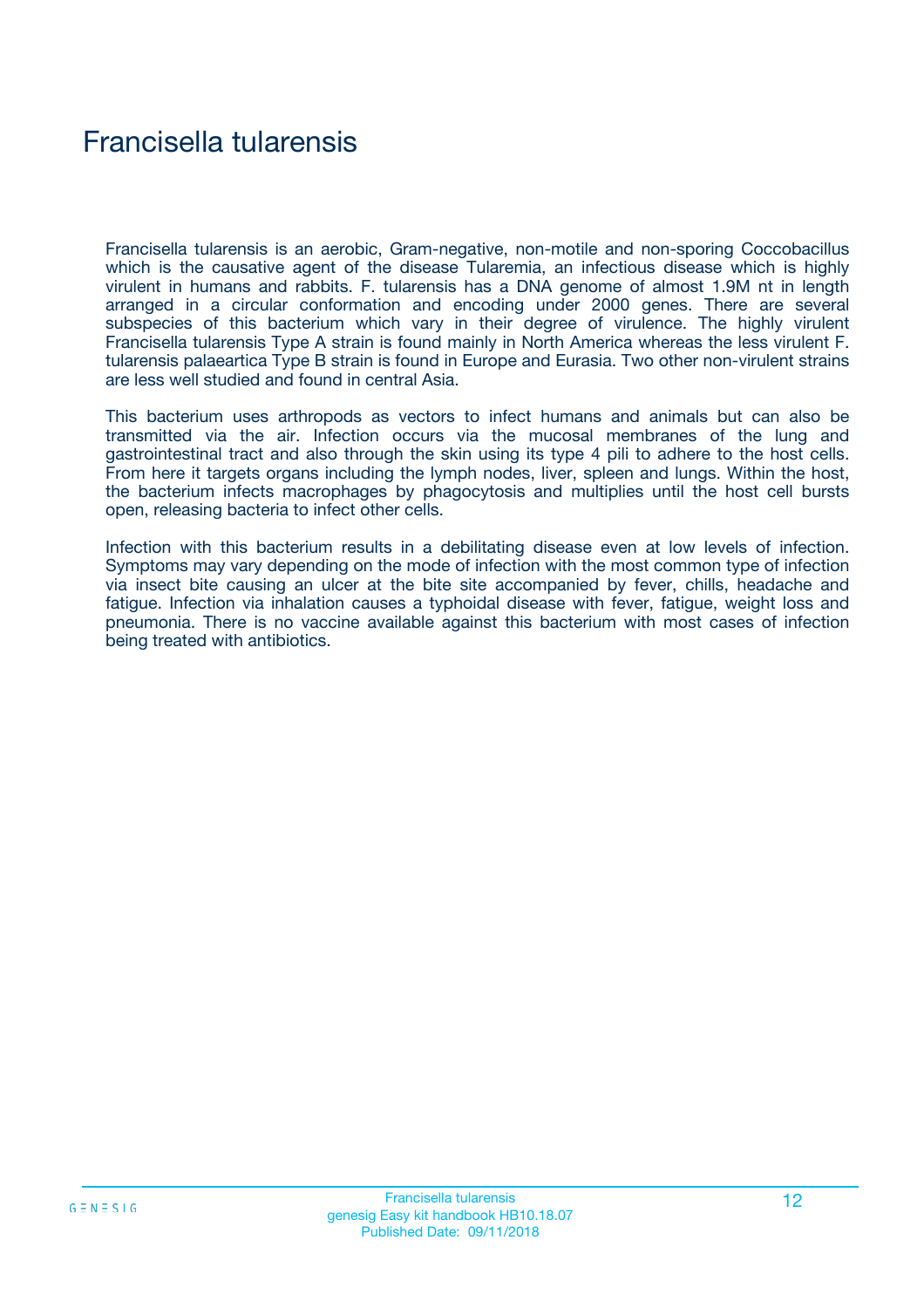# Francisella tularensis

Francisella tularensis is an aerobic, Gram-negative, non-motile and non-sporing Coccobacillus which is the causative agent of the disease Tularemia, an infectious disease which is highly virulent in humans and rabbits. F. tularensis has a DNA genome of almost 1.9M nt in length arranged in a circular conformation and encoding under 2000 genes. There are several subspecies of this bacterium which vary in their degree of virulence. The highly virulent Francisella tularensis Type A strain is found mainly in North America whereas the less virulent F. tularensis palaeartica Type B strain is found in Europe and Eurasia. Two other non-virulent strains are less well studied and found in central Asia.

This bacterium uses arthropods as vectors to infect humans and animals but can also be transmitted via the air. Infection occurs via the mucosal membranes of the lung and gastrointestinal tract and also through the skin using its type 4 pili to adhere to the host cells. From here it targets organs including the lymph nodes, liver, spleen and lungs. Within the host, the bacterium infects macrophages by phagocytosis and multiplies until the host cell bursts open, releasing bacteria to infect other cells.

Infection with this bacterium results in a debilitating disease even at low levels of infection. Symptoms may vary depending on the mode of infection with the most common type of infection via insect bite causing an ulcer at the bite site accompanied by fever, chills, headache and fatigue. Infection via inhalation causes a typhoidal disease with fever, fatigue, weight loss and pneumonia. There is no vaccine available against this bacterium with most cases of infection being treated with antibiotics.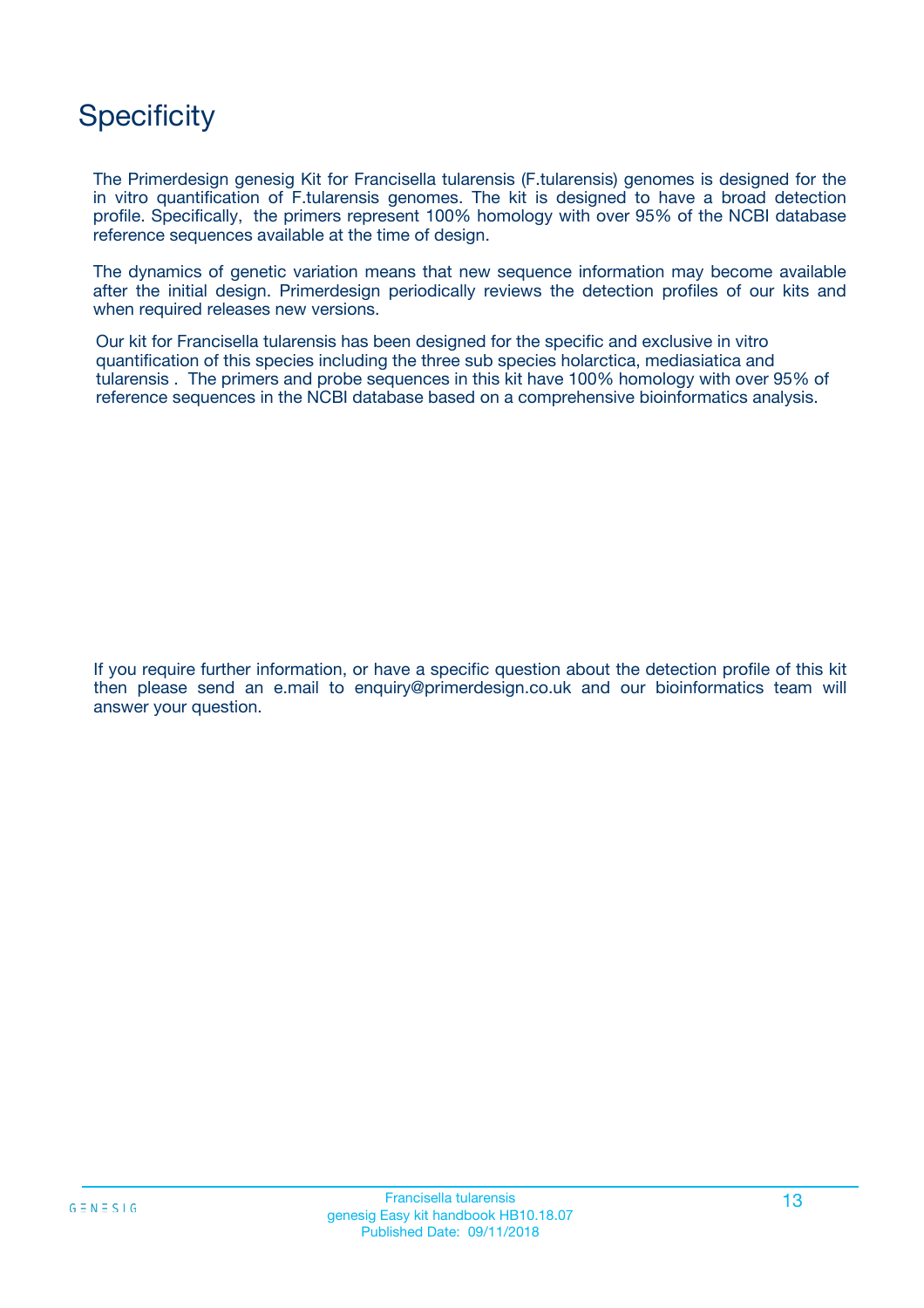# **Specificity**

The Primerdesign genesig Kit for Francisella tularensis (F.tularensis) genomes is designed for the in vitro quantification of F.tularensis genomes. The kit is designed to have a broad detection profile. Specifically, the primers represent 100% homology with over 95% of the NCBI database reference sequences available at the time of design.

The dynamics of genetic variation means that new sequence information may become available after the initial design. Primerdesign periodically reviews the detection profiles of our kits and when required releases new versions.

Our kit for Francisella tularensis has been designed for the specific and exclusive in vitro quantification of this species including the three sub species holarctica, mediasiatica and tularensis . The primers and probe sequences in this kit have 100% homology with over 95% of reference sequences in the NCBI database based on a comprehensive bioinformatics analysis.

If you require further information, or have a specific question about the detection profile of this kit then please send an e.mail to enquiry@primerdesign.co.uk and our bioinformatics team will answer your question.